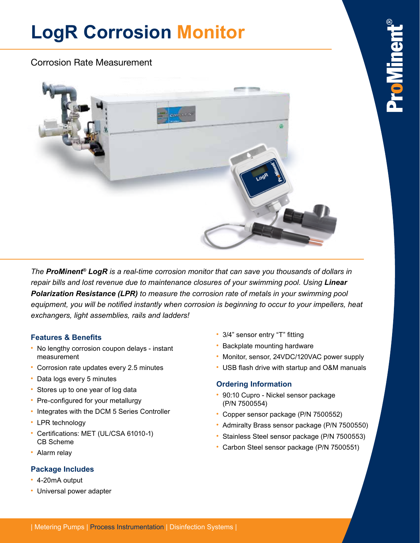# **LogR Corrosion Monitor**

### Corrosion Rate Measurement



ro Virer

*The ProMinent® LogR is a real-time corrosion monitor that can save you thousands of dollars in repair bills and lost revenue due to maintenance closures of your swimming pool. Using Linear Polarization Resistance (LPR) to measure the corrosion rate of metals in your swimming pool*  equipment, you will be notified instantly when corrosion is beginning to occur to your impellers, heat *exchangers, light assemblies, rails and ladders!*

#### **Features & Benefits**

- **•** No lengthy corrosion coupon delays instant measurement
- **•** Corrosion rate updates every 2.5 minutes
- **•** Data logs every 5 minutes
- **•** Stores up to one year of log data
- **•** Pre-configured for your metallurgy
- **•** Integrates with the DCM 5 Series Controller
- **•** LPR technology
- **•** Certifications: MET (UL/CSA 61010-1) CB Scheme
- **•** Alarm relay

### **Package Includes**

- **•** 4-20mA output
- **•** Universal power adapter
- **•** 3/4" sensor entry "T" fitting
- **•** Backplate mounting hardware
- **•** Monitor, sensor, 24VDC/120VAC power supply
- **•** USB flash drive with startup and O&M manuals

### **Ordering Information**

- **•** 90:10 Cupro Nickel sensor package (P/N 7500554)
- **•** Copper sensor package (P/N 7500552)
- **•** Admiralty Brass sensor package (P/N 7500550)
- **•** Stainless Steel sensor package (P/N 7500553)
- **•** Carbon Steel sensor package (P/N 7500551)